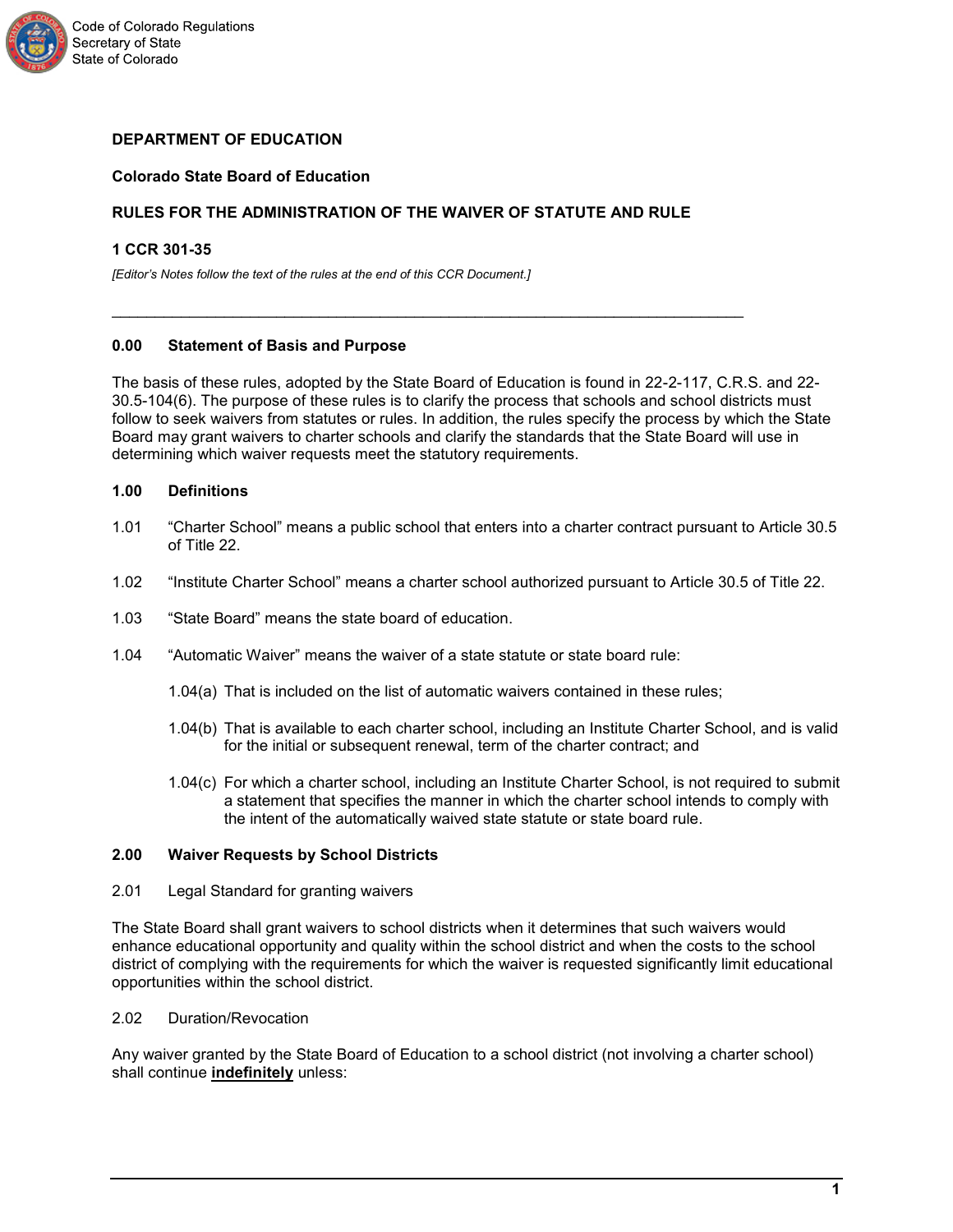

# **DEPARTMENT OF EDUCATION**

## **Colorado State Board of Education**

# **RULES FOR THE ADMINISTRATION OF THE WAIVER OF STATUTE AND RULE**

\_\_\_\_\_\_\_\_\_\_\_\_\_\_\_\_\_\_\_\_\_\_\_\_\_\_\_\_\_\_\_\_\_\_\_\_\_\_\_\_\_\_\_\_\_\_\_\_\_\_\_\_\_\_\_\_\_\_\_\_\_\_\_\_\_\_\_\_\_\_\_\_\_

### **1 CCR 301-35**

*[Editor's Notes follow the text of the rules at the end of this CCR Document.]*

#### **0.00 Statement of Basis and Purpose**

The basis of these rules, adopted by the State Board of Education is found in 22-2-117, C.R.S. and 22- 30.5-104(6). The purpose of these rules is to clarify the process that schools and school districts must follow to seek waivers from statutes or rules. In addition, the rules specify the process by which the State Board may grant waivers to charter schools and clarify the standards that the State Board will use in determining which waiver requests meet the statutory requirements.

## **1.00 Definitions**

- 1.01 "Charter School" means a public school that enters into a charter contract pursuant to Article 30.5 of Title 22.
- 1.02 "Institute Charter School" means a charter school authorized pursuant to Article 30.5 of Title 22.
- 1.03 "State Board" means the state board of education.
- 1.04 "Automatic Waiver" means the waiver of a state statute or state board rule:
	- 1.04(a) That is included on the list of automatic waivers contained in these rules;
	- 1.04(b) That is available to each charter school, including an Institute Charter School, and is valid for the initial or subsequent renewal, term of the charter contract; and
	- 1.04(c) For which a charter school, including an Institute Charter School, is not required to submit a statement that specifies the manner in which the charter school intends to comply with the intent of the automatically waived state statute or state board rule.

## **2.00 Waiver Requests by School Districts**

2.01 Legal Standard for granting waivers

The State Board shall grant waivers to school districts when it determines that such waivers would enhance educational opportunity and quality within the school district and when the costs to the school district of complying with the requirements for which the waiver is requested significantly limit educational opportunities within the school district.

# 2.02 Duration/Revocation

Any waiver granted by the State Board of Education to a school district (not involving a charter school) shall continue **indefinitely** unless: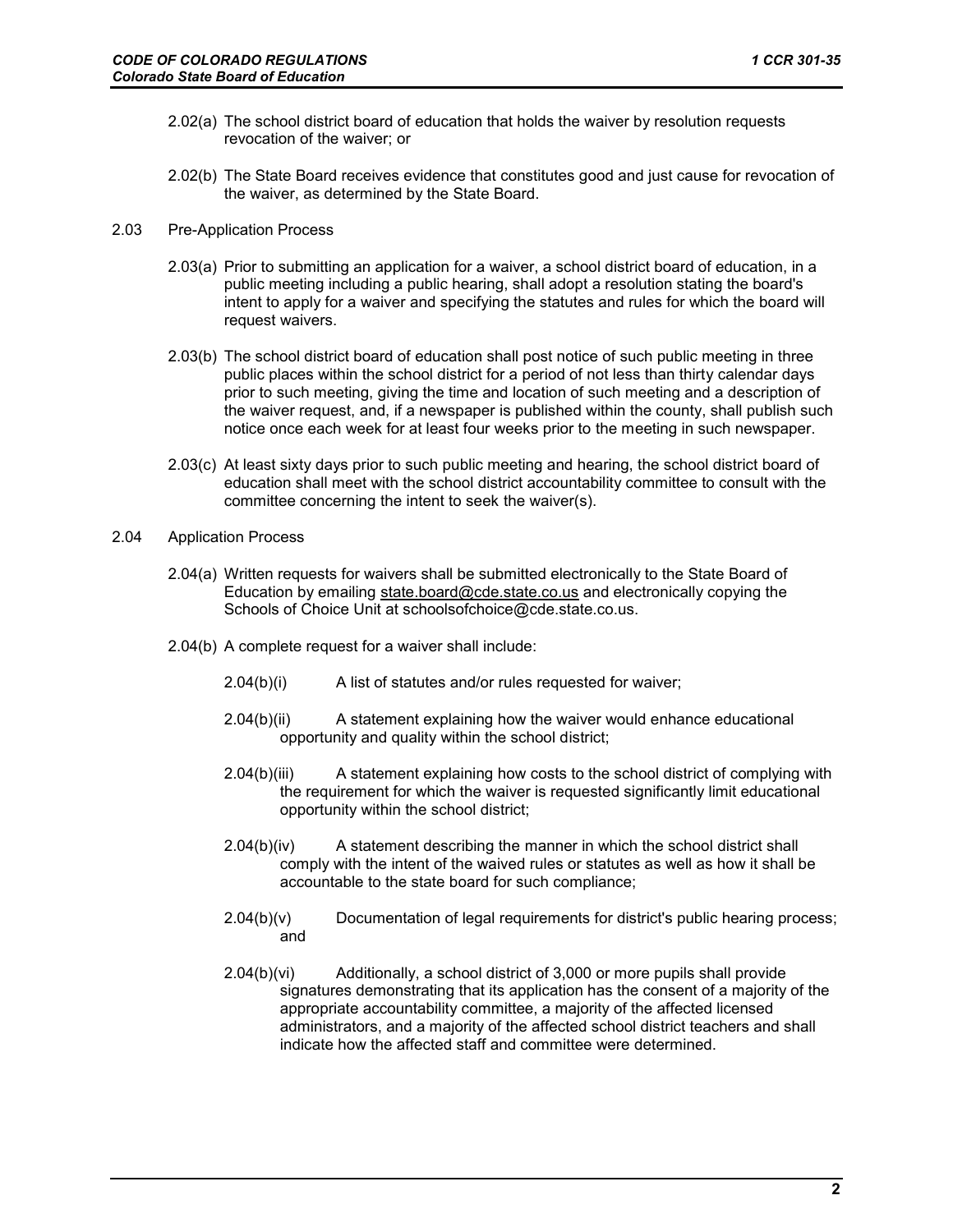- 2.02(a) The school district board of education that holds the waiver by resolution requests revocation of the waiver; or
- 2.02(b) The State Board receives evidence that constitutes good and just cause for revocation of the waiver, as determined by the State Board.
- 2.03 Pre-Application Process
	- 2.03(a) Prior to submitting an application for a waiver, a school district board of education, in a public meeting including a public hearing, shall adopt a resolution stating the board's intent to apply for a waiver and specifying the statutes and rules for which the board will request waivers.
	- 2.03(b) The school district board of education shall post notice of such public meeting in three public places within the school district for a period of not less than thirty calendar days prior to such meeting, giving the time and location of such meeting and a description of the waiver request, and, if a newspaper is published within the county, shall publish such notice once each week for at least four weeks prior to the meeting in such newspaper.
	- 2.03(c) At least sixty days prior to such public meeting and hearing, the school district board of education shall meet with the school district accountability committee to consult with the committee concerning the intent to seek the waiver(s).
- 2.04 Application Process
	- 2.04(a) Written requests for waivers shall be submitted electronically to the State Board of Education by emailing state.board@cde.state.co.us and electronically copying the Schools of Choice Unit at schoolsofchoice@cde.state.co.us.
	- 2.04(b) A complete request for a waiver shall include:
		- 2.04(b)(i) A list of statutes and/or rules requested for waiver;
		- 2.04(b)(ii) A statement explaining how the waiver would enhance educational opportunity and quality within the school district;
		- 2.04(b)(iii) A statement explaining how costs to the school district of complying with the requirement for which the waiver is requested significantly limit educational opportunity within the school district;
		- 2.04(b)(iv) A statement describing the manner in which the school district shall comply with the intent of the waived rules or statutes as well as how it shall be accountable to the state board for such compliance;
		- $2.04(b)(v)$  Documentation of legal requirements for district's public hearing process; and
		- 2.04(b)(vi) Additionally, a school district of 3,000 or more pupils shall provide signatures demonstrating that its application has the consent of a majority of the appropriate accountability committee, a majority of the affected licensed administrators, and a majority of the affected school district teachers and shall indicate how the affected staff and committee were determined.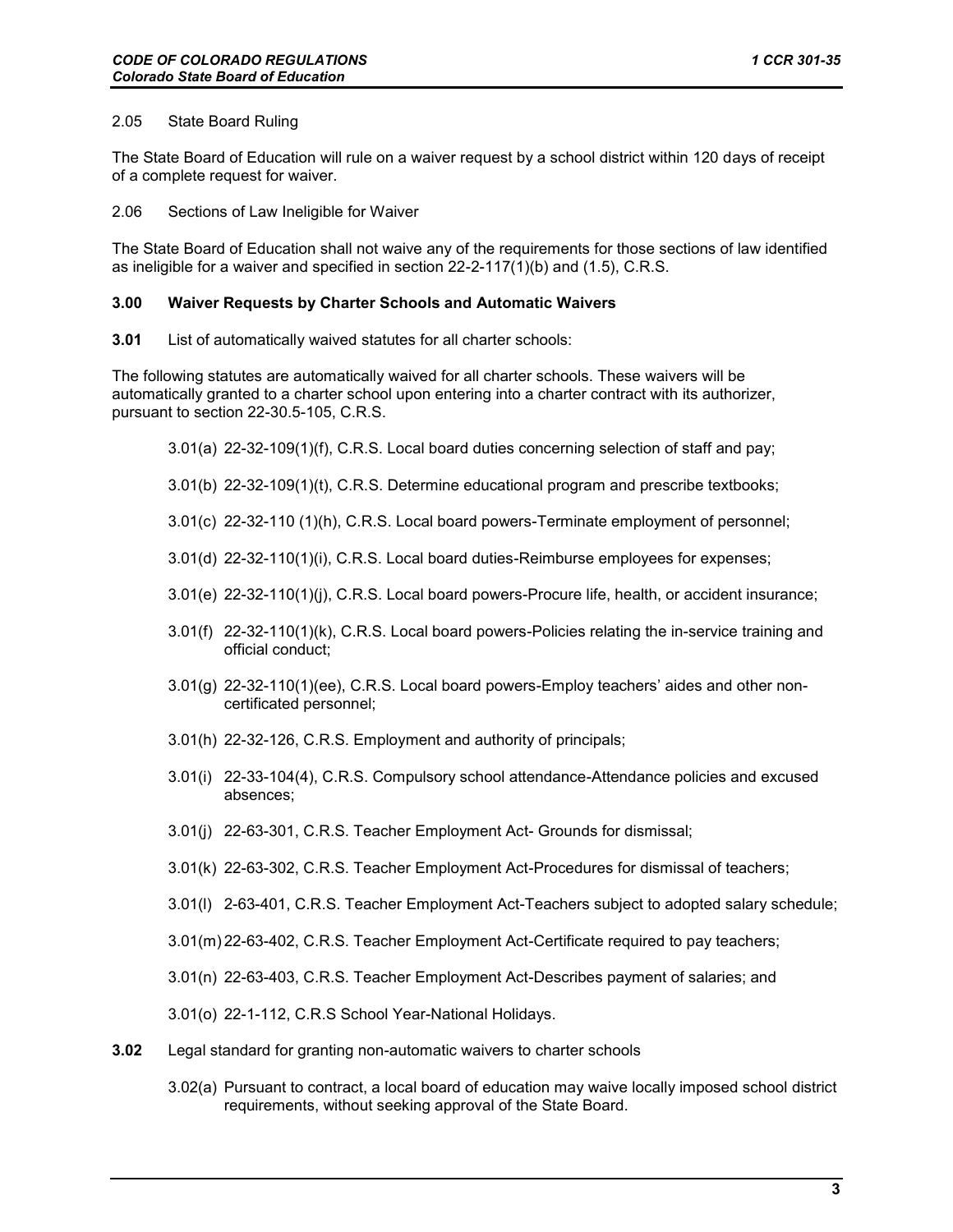### 2.05 State Board Ruling

The State Board of Education will rule on a waiver request by a school district within 120 days of receipt of a complete request for waiver.

2.06 Sections of Law Ineligible for Waiver

The State Board of Education shall not waive any of the requirements for those sections of law identified as ineligible for a waiver and specified in section 22-2-117(1)(b) and (1.5), C.R.S.

### **3.00 Waiver Requests by Charter Schools and Automatic Waivers**

**3.01** List of automatically waived statutes for all charter schools:

The following statutes are automatically waived for all charter schools. These waivers will be automatically granted to a charter school upon entering into a charter contract with its authorizer, pursuant to section 22-30.5-105, C.R.S.

- 3.01(a) 22-32-109(1)(f), C.R.S. Local board duties concerning selection of staff and pay;
- 3.01(b) 22-32-109(1)(t), C.R.S. Determine educational program and prescribe textbooks;
- 3.01(c) 22-32-110 (1)(h), C.R.S. Local board powers-Terminate employment of personnel;
- 3.01(d) 22-32-110(1)(i), C.R.S. Local board duties-Reimburse employees for expenses;
- 3.01(e) 22-32-110(1)(j), C.R.S. Local board powers-Procure life, health, or accident insurance;
- 3.01(f) 22-32-110(1)(k), C.R.S. Local board powers-Policies relating the in-service training and official conduct;
- 3.01(g) 22-32-110(1)(ee), C.R.S. Local board powers-Employ teachers' aides and other noncertificated personnel;
- 3.01(h) 22-32-126, C.R.S. Employment and authority of principals;
- 3.01(i) 22-33-104(4), C.R.S. Compulsory school attendance-Attendance policies and excused absences;
- 3.01(j) 22-63-301, C.R.S. Teacher Employment Act- Grounds for dismissal;
- 3.01(k) 22-63-302, C.R.S. Teacher Employment Act-Procedures for dismissal of teachers;
- 3.01(l) 2-63-401, C.R.S. Teacher Employment Act-Teachers subject to adopted salary schedule;
- 3.01(m) 22-63-402, C.R.S. Teacher Employment Act-Certificate required to pay teachers;
- 3.01(n) 22-63-403, C.R.S. Teacher Employment Act-Describes payment of salaries; and
- 3.01(o) 22-1-112, C.R.S School Year-National Holidays.
- **3.02** Legal standard for granting non-automatic waivers to charter schools
	- 3.02(a) Pursuant to contract, a local board of education may waive locally imposed school district requirements, without seeking approval of the State Board.